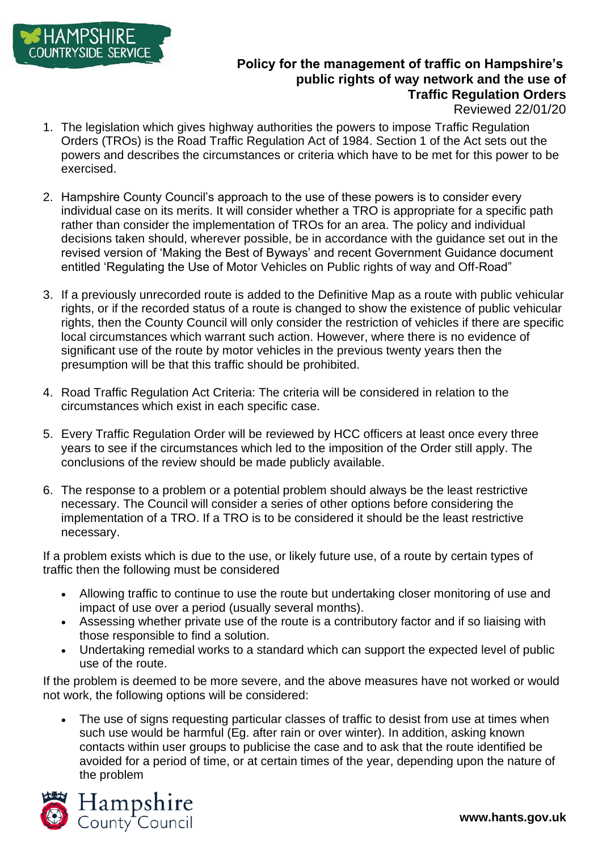

## **Policy for the management of traffic on Hampshire's public rights of way network and the use of Traffic Regulation Orders**

Reviewed 22/01/20

- 1. The legislation which gives highway authorities the powers to impose Traffic Regulation Orders (TROs) is the Road Traffic Regulation Act of 1984. Section 1 of the Act sets out the powers and describes the circumstances or criteria which have to be met for this power to be exercised.
- 2. Hampshire County Council's approach to the use of these powers is to consider every individual case on its merits. It will consider whether a TRO is appropriate for a specific path rather than consider the implementation of TROs for an area. The policy and individual decisions taken should, wherever possible, be in accordance with the guidance set out in the revised version of 'Making the Best of Byways' and recent Government Guidance document entitled 'Regulating the Use of Motor Vehicles on Public rights of way and Off-Road"
- 3. If a previously unrecorded route is added to the Definitive Map as a route with public vehicular rights, or if the recorded status of a route is changed to show the existence of public vehicular rights, then the County Council will only consider the restriction of vehicles if there are specific local circumstances which warrant such action. However, where there is no evidence of significant use of the route by motor vehicles in the previous twenty years then the presumption will be that this traffic should be prohibited.
- 4. Road Traffic Regulation Act Criteria: The criteria will be considered in relation to the circumstances which exist in each specific case.
- 5. Every Traffic Regulation Order will be reviewed by HCC officers at least once every three years to see if the circumstances which led to the imposition of the Order still apply. The conclusions of the review should be made publicly available.
- 6. The response to a problem or a potential problem should always be the least restrictive necessary. The Council will consider a series of other options before considering the implementation of a TRO. If a TRO is to be considered it should be the least restrictive necessary.

If a problem exists which is due to the use, or likely future use, of a route by certain types of traffic then the following must be considered

- Allowing traffic to continue to use the route but undertaking closer monitoring of use and impact of use over a period (usually several months).
- Assessing whether private use of the route is a contributory factor and if so liaising with those responsible to find a solution.
- Undertaking remedial works to a standard which can support the expected level of public use of the route.

If the problem is deemed to be more severe, and the above measures have not worked or would not work, the following options will be considered:

The use of signs requesting particular classes of traffic to desist from use at times when such use would be harmful (Eg. after rain or over winter). In addition, asking known contacts within user groups to publicise the case and to ask that the route identified be avoided for a period of time, or at certain times of the year, depending upon the nature of the problem